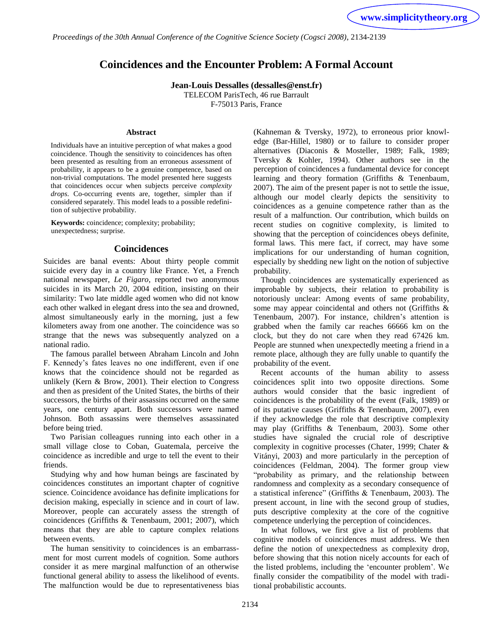*Proceedings of the 30th Annual Conference of the Cognitive Science Society (Cogsci 2008)*, 2134-2139

# **Coincidences and the Encounter Problem: A Formal Account**

**Jean-Louis Dessalles (dessalles@enst.fr)** TELECOM ParisTech, 46 rue Barrault

F-75013 Paris, France

#### **Abstract**

Individuals have an intuitive perception of what makes a good coincidence. Though the sensitivity to coincidences has often been presented as resulting from an erroneous assessment of probability, it appears to be a genuine competence, based on non-trivial computations. The model presented here suggests that coincidences occur when subjects perceive *complexity drops*. Co-occurring events are, together, simpler than if considered separately. This model leads to a possible redefinition of subjective probability.

**Keywords:** coincidence; complexity; probability; unexpectedness; surprise.

## **Coincidences**

Suicides are banal events: About thirty people commit suicide every day in a country like France. Yet, a French national newspaper, *Le Figaro*, reported two anonymous suicides in its March 20, 2004 edition, insisting on their similarity: Two late middle aged women who did not know each other walked in elegant dress into the sea and drowned, almost simultaneously early in the morning, just a few kilometers away from one another. The coincidence was so strange that the news was subsequently analyzed on a national radio.

The famous parallel between Abraham Lincoln and John F. Kennedy"s fates leaves no one indifferent, even if one knows that the coincidence should not be regarded as unlikely (Kern & Brow, 2001). Their election to Congress and then as president of the United States, the births of their successors, the births of their assassins occurred on the same years, one century apart. Both successors were named Johnson. Both assassins were themselves assassinated before being tried.

Two Parisian colleagues running into each other in a small village close to Coban, Guatemala, perceive the coincidence as incredible and urge to tell the event to their friends.

Studying why and how human beings are fascinated by coincidences constitutes an important chapter of cognitive science. Coincidence avoidance has definite implications for decision making, especially in science and in court of law. Moreover, people can accurately assess the strength of coincidences (Griffiths & Tenenbaum, 2001; 2007), which means that they are able to capture complex relations between events.

The human sensitivity to coincidences is an embarrassment for most current models of cognition. Some authors consider it as mere marginal malfunction of an otherwise functional general ability to assess the likelihood of events. The malfunction would be due to representativeness bias (Kahneman & Tversky, 1972), to erroneous prior knowledge (Bar-Hillel, 1980) or to failure to consider proper alternatives (Diaconis & Mosteller, 1989; Falk, 1989; Tversky & Kohler, 1994). Other authors see in the perception of coincidences a fundamental device for concept learning and theory formation (Griffiths & Tenenbaum, 2007). The aim of the present paper is not to settle the issue, although our model clearly depicts the sensitivity to coincidences as a genuine competence rather than as the result of a malfunction. Our contribution, which builds on recent studies on cognitive complexity, is limited to showing that the perception of coincidences obeys definite, formal laws. This mere fact, if correct, may have some implications for our understanding of human cognition, especially by shedding new light on the notion of subjective probability.

Though coincidences are systematically experienced as improbable by subjects, their relation to probability is notoriously unclear: Among events of same probability, some may appear coincidental and others not (Griffiths & Tenenbaum, 2007). For instance, children's attention is grabbed when the family car reaches 66666 km on the clock, but they do not care when they read 67426 km. People are stunned when unexpectedly meeting a friend in a remote place, although they are fully unable to quantify the probability of the event.

Recent accounts of the human ability to assess coincidences split into two opposite directions. Some authors would consider that the basic ingredient of coincidences is the probability of the event (Falk, 1989) or of its putative causes (Griffiths & Tenenbaum, 2007), even if they acknowledge the role that descriptive complexity may play (Griffiths & Tenenbaum, 2003). Some other studies have signaled the crucial role of descriptive complexity in cognitive processes (Chater, 1999; Chater & Vitányi, 2003) and more particularly in the perception of coincidences (Feldman, 2004). The former group view "probability as primary, and the relationship between randomness and complexity as a secondary consequence of a statistical inference" (Griffiths & Tenenbaum, 2003). The present account, in line with the second group of studies, puts descriptive complexity at the core of the cognitive competence underlying the perception of coincidences.

In what follows, we first give a list of problems that cognitive models of coincidences must address. We then define the notion of unexpectedness as complexity drop, before showing that this notion nicely accounts for each of the listed problems, including the "encounter problem". We finally consider the compatibility of the model with traditional probabilistic accounts.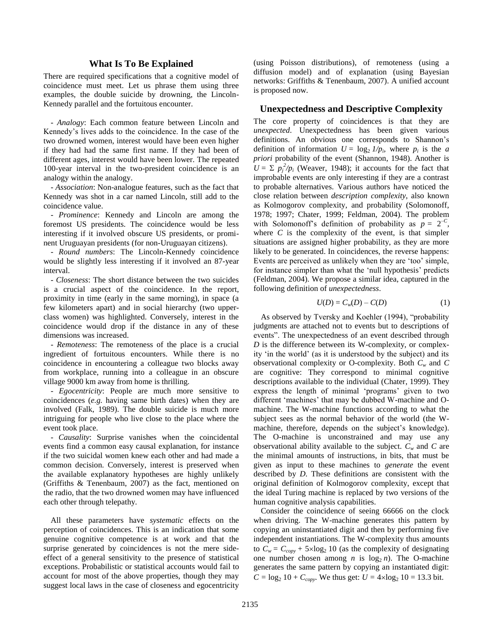## **What Is To Be Explained**

There are required specifications that a cognitive model of coincidence must meet. Let us phrase them using three examples, the double suicide by drowning, the Lincoln-Kennedy parallel and the fortuitous encounter.

- *Analogy*: Each common feature between Lincoln and Kennedy"s lives adds to the coincidence. In the case of the two drowned women, interest would have been even higher if they had had the same first name. If they had been of different ages, interest would have been lower. The repeated 100-year interval in the two-president coincidence is an analogy within the analogy.

- *Association*: Non-analogue features, such as the fact that Kennedy was shot in a car named Lincoln, still add to the coincidence value.

- *Prominence*: Kennedy and Lincoln are among the foremost US presidents. The coincidence would be less interesting if it involved obscure US presidents, or prominent Uruguayan presidents (for non-Uruguayan citizens).

- *Round numbers*: The Lincoln-Kennedy coincidence would be slightly less interesting if it involved an 87-year interval.

- *Closeness*: The short distance between the two suicides is a crucial aspect of the coincidence. In the report, proximity in time (early in the same morning), in space (a few kilometers apart) and in social hierarchy (two upperclass women) was highlighted. Conversely, interest in the coincidence would drop if the distance in any of these dimensions was increased.

- *Remoteness*: The remoteness of the place is a crucial ingredient of fortuitous encounters. While there is no coincidence in encountering a colleague two blocks away from workplace, running into a colleague in an obscure village 9000 km away from home is thrilling.

- *Egocentricity*: People are much more sensitive to coincidences (*e.g.* having same birth dates) when they are involved (Falk, 1989). The double suicide is much more intriguing for people who live close to the place where the event took place.

- *Causality*: Surprise vanishes when the coincidental events find a common easy causal explanation, for instance if the two suicidal women knew each other and had made a common decision. Conversely, interest is preserved when the available explanatory hypotheses are highly unlikely (Griffiths & Tenenbaum, 2007) as the fact, mentioned on the radio, that the two drowned women may have influenced each other through telepathy.

All these parameters have *systematic* effects on the perception of coincidences. This is an indication that some genuine cognitive competence is at work and that the surprise generated by coincidences is not the mere sideeffect of a general sensitivity to the presence of statistical exceptions. Probabilistic or statistical accounts would fail to account for most of the above properties, though they may suggest local laws in the case of closeness and egocentricity (using Poisson distributions), of remoteness (using a diffusion model) and of explanation (using Bayesian networks: Griffiths & Tenenbaum, 2007). A unified account is proposed now.

## **Unexpectedness and Descriptive Complexity**

The core property of coincidences is that they are *unexpected*. Unexpectedness has been given various definitions. An obvious one corresponds to Shannon"s definition of information  $U = \log_2 1/p_i$ , where  $p_i$  is the *a priori* probability of the event (Shannon, 1948). Another is  $U = \sum p_j^2 / p_i$  (Weaver, 1948); it accounts for the fact that improbable events are only interesting if they are a contrast to probable alternatives. Various authors have noticed the close relation between *description complexity*, also known as Kolmogorov complexity, and probability (Solomonoff, 1978; 1997; Chater, 1999; Feldman, 2004). The problem with Solomonoff's definition of probability as  $p = 2^{-c}$ , where  $C$  is the complexity of the event, is that simpler situations are assigned higher probability, as they are more likely to be generated. In coincidences, the reverse happens: Events are perceived as unlikely when they are "too" simple, for instance simpler than what the 'null hypothesis' predicts (Feldman, 2004). We propose a similar idea, captured in the following definition of *unexpectedness*.

<span id="page-1-0"></span>
$$
U(D) = C_w(D) - C(D) \tag{1}
$$

As observed by Tversky and Koehler (1994), "probability judgments are attached not to events but to descriptions of events". The unexpectedness of an event described through *D* is the difference between its W-complexity, or complexity "in the world" (as it is understood by the subject) and its observational complexity or O-complexity. Both *C<sup>w</sup>* and *C* are cognitive: They correspond to minimal cognitive descriptions available to the individual (Chater, 1999). They express the length of minimal 'programs' given to two different 'machines' that may be dubbed W-machine and Omachine. The W-machine functions according to what the subject sees as the normal behavior of the world (the Wmachine, therefore, depends on the subject's knowledge). The O-machine is unconstrained and may use any observational ability available to the subject.  $C_w$  and  $C$  are the minimal amounts of instructions, in bits, that must be given as input to these machines to *generate* the event described by *D*. These definitions are consistent with the original definition of Kolmogorov complexity, except that the ideal Turing machine is replaced by two versions of the human cognitive analysis capabilities.

Consider the coincidence of seeing 66666 on the clock when driving. The W-machine generates this pattern by copying an uninstantiated digit and then by performing five independent instantiations. The W-complexity thus amounts to  $C_w = C_{copy} + 5 \times \log_2 10$  (as the complexity of designating one number chosen among *n* is  $log_2 n$ . The O-machine generates the same pattern by copying an instantiated digit:  $C = \log_2 10 + C_{conv}$ . We thus get:  $U = 4 \times \log_2 10 = 13.3$  bit.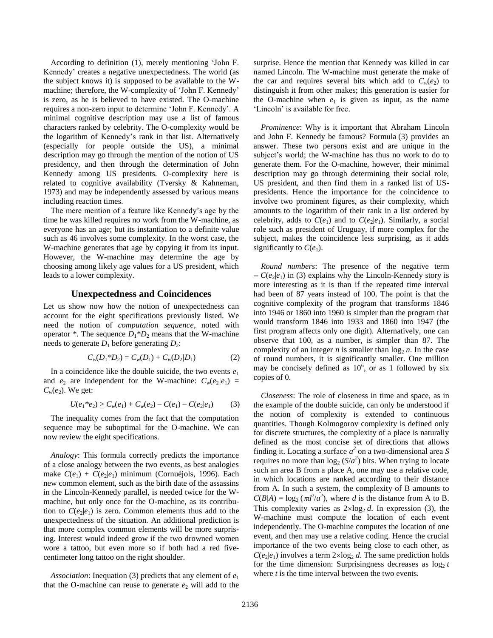According to definition [\(1\),](#page-1-0) merely mentioning "John F. Kennedy' creates a negative unexpectedness. The world (as the subject knows it) is supposed to be available to the Wmachine; therefore, the W-complexity of "John F. Kennedy" is zero, as he is believed to have existed. The O-machine requires a non-zero input to determine "John F. Kennedy". A minimal cognitive description may use a list of famous characters ranked by celebrity. The O-complexity would be the logarithm of Kennedy"s rank in that list. Alternatively (especially for people outside the US), a minimal description may go through the mention of the notion of US presidency, and then through the determination of John Kennedy among US presidents. O-complexity here is related to cognitive availability (Tversky & Kahneman, 1973) and may be independently assessed by various means including reaction times.

The mere mention of a feature like Kennedy"s age by the time he was killed requires no work from the W-machine, as everyone has an age; but its instantiation to a definite value such as 46 involves some complexity. In the worst case, the W-machine generates that age by copying it from its input. However, the W-machine may determine the age by choosing among likely age values for a US president, which leads to a lower complexity.

# **Unexpectedness and Coincidences**

Let us show now how the notion of unexpectedness can account for the eight specifications previously listed. We need the notion of *computation sequence*, noted with operator  $*$ . The sequence  $D_1 * D_2$  means that the W-machine needs to generate  $D_1$  before generating  $D_2$ :

$$
C_w(D_1 * D_2) = C_w(D_1) + C_w(D_2/D_1)
$$
 (2)

In a coincidence like the double suicide, the two events  $e_1$ and  $e_2$  are independent for the W-machine:  $C_w(e_2/e_1)$  =  $C_w(e_2)$ . We get:

$$
U(e_1 * e_2) \ge C_w(e_1) + C_w(e_2) - C(e_1) - C(e_2|e_1) \tag{3}
$$

The inequality comes from the fact that the computation sequence may be suboptimal for the O-machine. We can now review the eight specifications.

*Analogy*: This formula correctly predicts the importance of a close analogy between the two events, as best analogies make  $C(e_1) + C(e_2|e_1)$  minimum (Cornuéjols, 1996). Each new common element, such as the birth date of the assassins in the Lincoln-Kennedy parallel, is needed twice for the Wmachine, but only once for the O-machine, as its contribution to  $C(e_2|e_1)$  is zero. Common elements thus add to the unexpectedness of the situation. An additional prediction is that more complex common elements will be more surprising. Interest would indeed grow if the two drowned women wore a tattoo, but even more so if both had a red fivecentimeter long tattoo on the right shoulder.

*Association*: Inequation [\(3\)](#page-2-0) predicts that any element of *e*<sup>1</sup> that the O-machine can reuse to generate  $e_2$  will add to the surprise. Hence the mention that Kennedy was killed in car named Lincoln. The W-machine must generate the make of the car and requires several bits which add to  $C_w(e_2)$  to distinguish it from other makes; this generation is easier for the O-machine when  $e_1$  is given as input, as the name 'Lincoln' is available for free.

*Prominence*: Why is it important that Abraham Lincoln and John F. Kennedy be famous? Formula [\(3\)](#page-2-0) provides an answer. These two persons exist and are unique in the subject's world; the W-machine has thus no work to do to generate them. For the O-machine, however, their minimal description may go through determining their social role, US president, and then find them in a ranked list of USpresidents. Hence the importance for the coincidence to involve two prominent figures, as their complexity, which amounts to the logarithm of their rank in a list ordered by celebrity, adds to  $C(e_1)$  and to  $C(e_2|e_1)$ . Similarly, a social role such as president of Uruguay, if more complex for the subject, makes the coincidence less surprising, as it adds significantly to  $C(e_1)$ .

*Round numbers*: The presence of the negative term  $-C(e_2|e_1)$  in [\(3\)](#page-2-0) explains why the Lincoln-Kennedy story is more interesting as it is than if the repeated time interval had been of 87 years instead of 100. The point is that the cognitive complexity of the program that transforms 1846 into 1946 or 1860 into 1960 is simpler than the program that would transform 1846 into 1933 and 1860 into 1947 (the first program affects only one digit). Alternatively, one can observe that 100, as a number, is simpler than 87. The complexity of an integer  $n$  is smaller than  $\log_2 n$ . In the case of round numbers, it is significantly smaller. One million may be concisely defined as  $10^6$ , or as 1 followed by six copies of 0.

<span id="page-2-1"></span><span id="page-2-0"></span>*Closeness*: The role of closeness in time and space, as in the example of the double suicide, can only be understood if the notion of complexity is extended to continuous quantities. Though Kolmogorov complexity is defined only for discrete structures, the complexity of a place is naturally defined as the most concise set of directions that allows finding it. Locating a surface *a 2* on a two-dimensional area *S* requires no more than  $log_2(S/a^2)$  bits. When trying to locate such an area B from a place A, one may use a relative code, in which locations are ranked according to their distance from A. In such a system, the complexity of B amounts to  $C(B|A) = \log_2(\pi d^2/a^2)$ , where *d* is the distance from A to B. This complexity varies as  $2 \times \log_2 d$ . In expression [\(3\),](#page-2-0) the W-machine must compute the location of each event independently. The O-machine computes the location of one event, and then may use a relative coding. Hence the crucial importance of the two events being close to each other, as  $C(e_2|e_1)$  involves a term  $2 \times \log_2 d$ . The same prediction holds for the time dimension: Surprisingness decreases as  $\log_2 t$ where *t* is the time interval between the two events.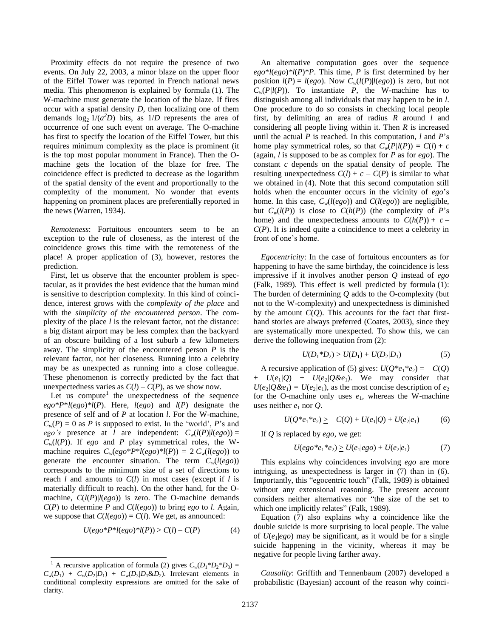Proximity effects do not require the presence of two events. On July 22, 2003, a minor blaze on the upper floor of the Eiffel Tower was reported in French national news media. This phenomenon is explained by formula [\(1\).](#page-1-0) The W-machine must generate the location of the blaze. If fires occur with a spatial density *D*, then localizing one of them demands  $\log_2 1/(a^2D)$  bits, as  $1/D$  represents the area of occurrence of one such event on average. The O-machine has first to specify the location of the Eiffel Tower, but this requires minimum complexity as the place is prominent (it is the top most popular monument in France). Then the Omachine gets the location of the blaze for free. The coincidence effect is predicted to decrease as the logarithm of the spatial density of the event and proportionally to the complexity of the monument. No wonder that events happening on prominent places are preferentially reported in the news (Warren, 1934).

*Remoteness*: Fortuitous encounters seem to be an exception to the rule of closeness, as the interest of the coincidence grows this time with the remoteness of the place! A proper application of [\(3\),](#page-2-0) however, restores the prediction.

First, let us observe that the encounter problem is spectacular, as it provides the best evidence that the human mind is sensitive to description complexity. In this kind of coincidence, interest grows with the *complexity of the place* and with the *simplicity of the encountered person*. The complexity of the place *l* is the relevant factor, not the distance: a big distant airport may be less complex than the backyard of an obscure building of a lost suburb a few kilometers away. The simplicity of the encountered person *P* is the relevant factor, not her closeness. Running into a celebrity may be as unexpected as running into a close colleague. These phenomenon is correctly predicted by the fact that unexpectedness varies as  $C(l) - C(P)$ , as we show now.

Let us compute<sup>1</sup> the unexpectedness of the sequence  $e g o^* P^* l (e g o)^* l (P)$ . Here,  $l (e g o)$  and  $l (P)$  designate the presence of self and of *P* at location *l*. For the W-machine,  $C_w(P) = 0$  as *P* is supposed to exist. In the 'world', *P*'s and *ego's* presence at *l* are independent:  $C_w(l(P)l(ego)) =$  $C_w(l(P))$ . If *ego* and *P* play symmetrical roles, the Wmachine requires  $C_w(\text{ego*P*l}(\text{ego})*l(P)) = 2 C_w(\text{l}(\text{ego}))$  to generate the encounter situation. The term  $C_w(l(ego))$ corresponds to the minimum size of a set of directions to reach *l* and amounts to *C*(*l*) in most cases (except if *l* is materially difficult to reach). On the other hand, for the Omachine,  $C(l(P)|l(ego))$  is zero. The O-machine demands  $C(P)$  to determine *P* and  $C(l(ego))$  to bring *ego* to *l*. Again, we suppose that  $C(l(ego)) = C(l)$ . We get, as announced:

$$
U(ego*P*l(ego)*l(P)) \ge C(l) - C(P)
$$
\n<sup>(4)</sup>

 $\overline{a}$ 

An alternative computation goes over the sequence  $e g o^* l (e g o)^* l (P)^* P$ . This time, *P* is first determined by her position  $l(P) = l(ego)$ . Now  $C_w(l(P)|l(ego))$  is zero, but not  $C_w(P/I(P))$ . To instantiate *P*, the W-machine has to distinguish among all individuals that may happen to be in *l*. One procedure to do so consists in checking local people first, by delimiting an area of radius *R* around *l* and considering all people living within it. Then *R* is increased until the actual *P* is reached. In this computation, *l* and *P*"s home play symmetrical roles, so that  $C_w(P/l(P)) = C(l) + c$ (again, *l* is supposed to be as complex for *P* as for *ego*). The constant *c* depends on the spatial density of people. The resulting unexpectedness  $C(l) + c - C(P)$  is similar to what we obtained in [\(4\).](#page-3-0) Note that this second computation still holds when the encounter occurs in the vicinity of *ego*"s home. In this case,  $C_w(l(ego))$  and  $C(l(ego))$  are negligible, but  $C_w(l(P))$  is close to  $C(h(P))$  (the complexity of *P*'s home) and the unexpectedness amounts to  $C(h(P)) + c$ *C*(*P*). It is indeed quite a coincidence to meet a celebrity in front of one's home.

*Egocentricity*: In the case of fortuitous encounters as for happening to have the same birthday, the coincidence is less impressive if it involves another person *Q* instead of *ego* (Falk, 1989). This effect is well predicted by formula [\(1\):](#page-1-0) The burden of determining *Q* adds to the O-complexity (but not to the W-complexity) and unexpectedness is diminished by the amount  $C(Q)$ . This accounts for the fact that firsthand stories are always preferred (Coates, 2003), since they are systematically more unexpected. To show this, we can derive the following inequation from [\(2\):](#page-2-1)

<span id="page-3-3"></span><span id="page-3-1"></span>
$$
U(D_1 * D_2) \ge U(D_1) + U(D_2/D_1) \tag{5}
$$

A recursive application of [\(5\)](#page-3-1) gives:  $U(Q^*e_1^*e_2) = -C(Q)$ +  $U(e_1/Q)$  +  $U(e_2/Q\&e_1)$ . We may consider that  $U(e_2/Q\&e_1) = U(e_2/e_1)$ , as the most concise description of  $e_2$ for the O-machine only uses  $e_1$ , whereas the W-machine uses neither  $e_1$  nor  $Q$ .

$$
U(Q^*e_1^*e_2) \geq -C(Q) + U(e_1|Q) + U(e_2|e_1) \tag{6}
$$

If *Q* is replaced by *ego*, we get:

<span id="page-3-2"></span>
$$
U(ego * e1 * e2) \ge U(e1|ego) + U(e2|e1)
$$
 (7)

This explains why coincidences involving *ego* are more intriguing, as unexpectedness is larger in [\(7\)](#page-3-2) than in [\(6\).](#page-3-3) Importantly, this "egocentric touch" (Falk, 1989) is obtained without any extensional reasoning. The present account considers neither alternatives nor "the size of the set to which one implicitly relates" (Falk, 1989).

<span id="page-3-0"></span>Equation [\(7\)](#page-3-2) also explains why a coincidence like the double suicide is more surprising to local people. The value of  $U(e_1|e_2o)$  may be significant, as it would be for a single suicide happening in the vicinity, whereas it may be negative for people living farther away.

*Causality*: Griffith and Tennenbaum (2007) developed a probabilistic (Bayesian) account of the reason why coinci-

<sup>&</sup>lt;sup>1</sup> A recursive application of formula [\(2\)](#page-2-1) gives  $C_w(D_1 * D_2 * D_3) =$  $C_w(D_1) + C_w(D_2/D_1) + C_w(D_3/D_1 \& D_2)$ . Irrelevant elements in conditional complexity expressions are omitted for the sake of clarity.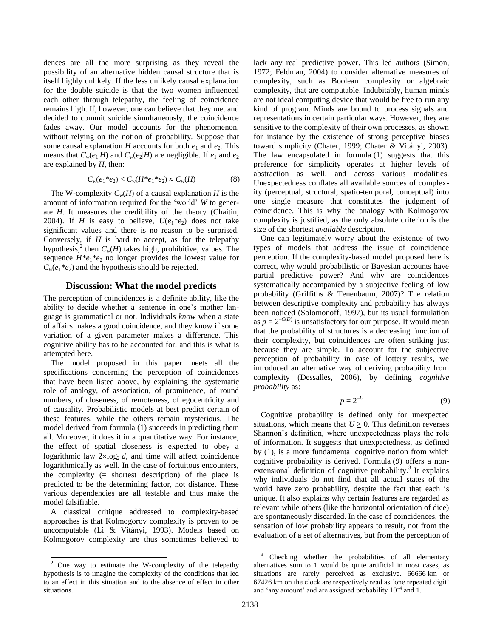dences are all the more surprising as they reveal the possibility of an alternative hidden causal structure that is itself highly unlikely. If the less unlikely causal explanation for the double suicide is that the two women influenced each other through telepathy, the feeling of coincidence remains high. If, however, one can believe that they met and decided to commit suicide simultaneously, the coincidence fades away. Our model accounts for the phenomenon, without relying on the notion of probability. Suppose that some causal explanation *H* accounts for both  $e_1$  and  $e_2$ . This means that  $C_w(e_1|H)$  and  $C_w(e_2|H)$  are negligible. If  $e_1$  and  $e_2$ are explained by *H*, then:

$$
C_w(e_1 * e_2) \le C_w(H * e_1 * e_2) \approx C_w(H) \tag{8}
$$

The W-complexity  $C_w(H)$  of a causal explanation *H* is the amount of information required for the "world" *W* to generate *H*. It measures the credibility of the theory (Chaitin, 2004). If *H* is easy to believe,  $U(e_1^*e_2)$  does not take significant values and there is no reason to be surprised. Conversely, if *H* is hard to accept, as for the telepathy hypothesis,<sup>2</sup> then  $C_w(H)$  takes high, prohibitive, values. The sequence  $H^*e_1*e_2$  no longer provides the lowest value for  $C_w(e_1 * e_2)$  and the hypothesis should be rejected.

## **Discussion: What the model predicts**

The perception of coincidences is a definite ability, like the ability to decide whether a sentence in one"s mother language is grammatical or not. Individuals *know* when a state of affairs makes a good coincidence, and they know if some variation of a given parameter makes a difference. This cognitive ability has to be accounted for, and this is what is attempted here.

The model proposed in this paper meets all the specifications concerning the perception of coincidences that have been listed above, by explaining the systematic role of analogy, of association, of prominence, of round numbers, of closeness, of remoteness, of egocentricity and of causality. Probabilistic models at best predict certain of these features, while the others remain mysterious. The model derived from formula [\(1\)](#page-1-0) succeeds in predicting them all. Moreover, it does it in a quantitative way. For instance, the effect of spatial closeness is expected to obey a logarithmic law  $2 \times \log_2 d$ , and time will affect coincidence logarithmically as well. In the case of fortuitous encounters, the complexity  $(=$  shortest description) of the place is predicted to be the determining factor, not distance. These various dependencies are all testable and thus make the model falsifiable.

A classical critique addressed to complexity-based approaches is that Kolmogorov complexity is proven to be uncomputable (Li & Vitányi, 1993). Models based on Kolmogorov complexity are thus sometimes believed to

 $\overline{a}$ 

lack any real predictive power. This led authors (Simon, 1972; Feldman, 2004) to consider alternative measures of complexity, such as Boolean complexity or algebraic complexity, that are computable. Indubitably, human minds are not ideal computing device that would be free to run any kind of program. Minds are bound to process signals and representations in certain particular ways. However, they are sensitive to the complexity of their own processes, as shown for instance by the existence of strong perceptive biases toward simplicity (Chater, 1999; Chater & Vitányi, 2003). The law encapsulated in formula [\(1\)](#page-1-0) suggests that this preference for simplicity operates at higher levels of abstraction as well, and across various modalities. Unexpectedness conflates all available sources of complexity (perceptual, structural, spatio-temporal, conceptual) into one single measure that constitutes the judgment of coincidence. This is why the analogy with Kolmogorov complexity is justified, as the only absolute criterion is the size of the shortest *available* description.

One can legitimately worry about the existence of two types of models that address the issue of coincidence perception. If the complexity-based model proposed here is correct, why would probabilistic or Bayesian accounts have partial predictive power? And why are coincidences systematically accompanied by a subjective feeling of low probability (Griffiths & Tenenbaum, 2007)? The relation between descriptive complexity and probability has always been noticed (Solomonoff, 1997), but its usual formulation as  $p = 2^{-C(D)}$  is unsatisfactory for our purpose. It would mean that the probability of structures is a decreasing function of their complexity, but coincidences are often striking just because they are simple. To account for the subjective perception of probability in case of lottery results, we introduced an alternative way of deriving probability from complexity (Dessalles, 2006), by defining *cognitive probability* as:

<span id="page-4-0"></span>
$$
p = 2^{-U} \tag{9}
$$

Cognitive probability is defined only for unexpected situations, which means that  $U \geq 0$ . This definition reverses Shannon"s definition, where unexpectedness plays the role of information. It suggests that unexpectedness, as defined by [\(1\),](#page-1-0) is a more fundamental cognitive notion from which cognitive probability is derived. Formula [\(9\)](#page-4-0) offers a nonextensional definition of cognitive probability.<sup>3</sup> It explains why individuals do not find that all actual states of the world have zero probability, despite the fact that each is unique. It also explains why certain features are regarded as relevant while others (like the horizontal orientation of dice) are spontaneously discarded. In the case of coincidences, the sensation of low probability appears to result, not from the evaluation of a set of alternatives, but from the perception of

<sup>2</sup> One way to estimate the W-complexity of the telepathy hypothesis is to imagine the complexity of the conditions that led to an effect in this situation and to the absence of effect in other situations.

 $\overline{3}$ Checking whether the probabilities of all elementary alternatives sum to 1 would be quite artificial in most cases, as situations are rarely perceived as exclusive. 66666 km or 67426 km on the clock are respectively read as "one repeated digit" and 'any amount' and are assigned probability  $10^{-4}$  and 1.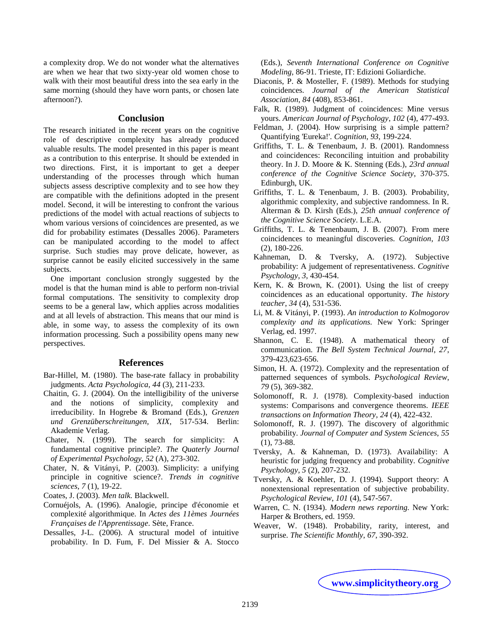a complexity drop. We do not wonder what the alternatives are when we hear that two sixty-year old women chose to walk with their most beautiful dress into the sea early in the same morning (should they have worn pants, or chosen late afternoon?).

## **Conclusion**

The research initiated in the recent years on the cognitive role of descriptive complexity has already produced valuable results. The model presented in this paper is meant as a contribution to this enterprise. It should be extended in two directions. First, it is important to get a deeper understanding of the processes through which human subjects assess descriptive complexity and to see how they are compatible with the definitions adopted in the present model. Second, it will be interesting to confront the various predictions of the model with actual reactions of subjects to whom various versions of coincidences are presented, as we did for probability estimates (Dessalles 2006). Parameters can be manipulated according to the model to affect surprise. Such studies may prove delicate, however, as surprise cannot be easily elicited successively in the same subjects.

One important conclusion strongly suggested by the model is that the human mind is able to perform non-trivial formal computations. The sensitivity to complexity drop seems to be a general law, which applies across modalities and at all levels of abstraction. This means that our mind is able, in some way, to assess the complexity of its own information processing. Such a possibility opens many new perspectives.

#### **References**

- Bar-Hillel, M. (1980). The base-rate fallacy in probability judgments. *Acta Psychologica*, *44* (3), 211-233.
- Chaitin, G. J. (2004). On the intelligibility of the universe and the notions of simplicity, complexity and irreducibility. In Hogrebe & Bromand (Eds.), *Grenzen und Grenzüberschreitungen, XIX*, 517-534. Berlin: Akademie Verlag.
- Chater, N. (1999). The search for simplicity: A fundamental cognitive principle?. *The Quaterly Journal of Experimental Psychology*, *52* (A), 273-302.
- Chater, N. & Vitányi, P. (2003). Simplicity: a unifying principle in cognitive science?. *Trends in cognitive sciences*, *7* (1), 19-22.
- Coates, J. (2003). *Men talk.* Blackwell.
- Cornuéjols, A. (1996). Analogie, principe d'économie et complexité algorithmique. In *Actes des 11èmes Journées Françaises de l'Apprentissage*. Sète, France.
- Dessalles, J-L. (2006). A structural model of intuitive probability. In D. Fum, F. Del Missier & A. Stocco

(Eds.), *Seventh International Conference on Cognitive Modeling*, 86-91. Trieste, IT: Edizioni Goliardiche.

- Diaconis, P. & Mosteller, F. (1989). Methods for studying coincidences. *Journal of the American Statistical Association*, *84* (408), 853-861.
- Falk, R. (1989). Judgment of coincidences: Mine versus yours. *American Journal of Psychology*, *102* (4), 477-493.
- Feldman, J. (2004). How surprising is a simple pattern? Quantifying 'Eureka!'. *Cognition*, *93*, 199-224.
- Griffiths, T. L. & Tenenbaum, J. B. (2001). Randomness and coincidences: Reconciling intuition and probability theory. In J. D. Moore & K. Stenning (Eds.), *23rd annual conference of the Cognitive Science Society*, 370-375. Edinburgh, UK.
- Griffiths, T. L. & Tenenbaum, J. B. (2003). Probability, algorithmic complexity, and subjective randomness. In R. Alterman & D. Kirsh (Eds.), *25th annual conference of the Cognitive Science Society*. L.E.A.
- Griffiths, T. L. & Tenenbaum, J. B. (2007). From mere coincidences to meaningful discoveries. *Cognition*, *103* (2), 180-226.
- Kahneman, D. & Tversky, A. (1972). Subjective probability: A judgement of representativeness. *Cognitive Psychology*, *3*, 430-454.
- Kern, K. & Brown, K. (2001). Using the list of creepy coincidences as an educational opportunity. *The history teacher*, *34* (4), 531-536.
- Li, M. & Vitányi, P. (1993). *An introduction to Kolmogorov complexity and its applications.* New York: Springer Verlag, ed. 1997.
- Shannon, C. E. (1948). A mathematical theory of communication. *The Bell System Technical Journal*, *27*, 379-423,623-656.
- Simon, H. A. (1972). Complexity and the representation of patterned sequences of symbols. *Psychological Review*, *79* (5), 369-382.
- Solomonoff, R. J. (1978). Complexity-based induction systems: Comparisons and convergence theorems. *IEEE transactions on Information Theory*, *24* (4), 422-432.
- Solomonoff, R. J. (1997). The discovery of algorithmic probability. *Journal of Computer and System Sciences*, *55* (1), 73-88.
- Tversky, A. & Kahneman, D. (1973). Availability: A heuristic for judging frequency and probability. *Cognitive Psychology*, *5* (2), 207-232.
- Tversky, A. & Koehler, D. J. (1994). Support theory: A nonextensional representation of subjective probability. *Psychological Review*, *101* (4), 547-567.
- Warren, C. N. (1934). *Modern news reporting.* New York: Harper & Brothers, ed. 1959.
- Weaver, W. (1948). Probability, rarity, interest, and surprise. *The Scientific Monthly*, *67*, 390-392.